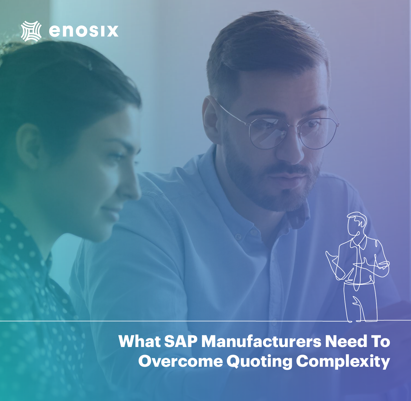

**What SAP Manufacturers Need To Overcome Quoting Complexity**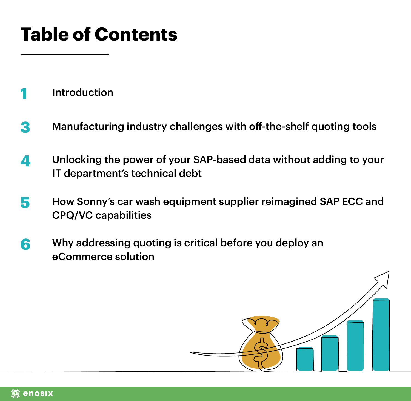# **Table of Contents**

- **1** [Introduction](#page-2-0)
- **3**  [Manufacturing industry challenges with off-the-shelf quoting tools](#page-4-0)
- **4**  [Unlocking the power of your SAP-based data without adding to your](#page-5-0)  [IT department's technical debt](#page-5-0)
- **5**  [How Sonny's car wash equipment supplier reimagined SAP ECC and](#page-6-0)  [CPQ/VC capabilities](#page-6-0)
- **6**  [Why addressing quoting is critical before you deploy an](#page-7-0)  [eCommerce solution](#page-7-0)



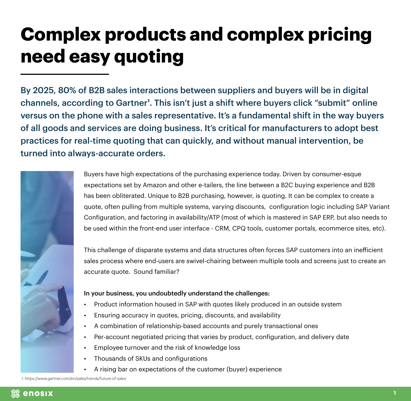## <span id="page-2-0"></span>**Complex products and complex pricing need easy quoting**

By 2025, 80% of B2B sales interactions between suppliers and buyers will be in digital channels, according to Gartner<sup>1</sup>. This isn't just a shift where buyers click "submit" online versus on the phone with a sales representative. It's a fundamental shift in the way buyers of all goods and services are doing business. It's critical for manufacturers to adopt best practices for real-time quoting that can quickly, and without manual intervention, be turned into always-accurate orders.



Buyers have high expectations of the purchasing experience today. Driven by consumer-esque expectations set by Amazon and other e-tailers, the line between a B2C buying experience and B2B has been obliterated. Unique to B2B purchasing, however, is quoting. It can be complex to create a quote, often pulling from multiple systems, varying discounts, configuration logic including SAP Variant Configuration, and factoring in availability/ATP (most of which is mastered in SAP ERP, but also needs to be used within the front-end user interface - CRM, CPQ tools, customer portals, ecommerce sites, etc).

This challenge of disparate systems and data structures often forces SAP customers into an inefficient sales process where end-users are swivel-chairing between multiple tools and screens just to create an accurate quote. Sound familiar?

#### In your business, you undoubtedly understand the challenges:

- Product information housed in SAP with quotes likely produced in an outside system
- Ensuring accuracy in quotes, pricing, discounts, and availability
- A combination of relationship-based accounts and purely transactional ones
- Per-account negotiated pricing that varies by product, configuration, and delivery date
- Employee turnover and the risk of knowledge loss
- Thousands of SKUs and configurations
- A rising bar on expectations of the customer (buyer) experience

1. https://www.gartner.com/en/sales/trends/future-of-sales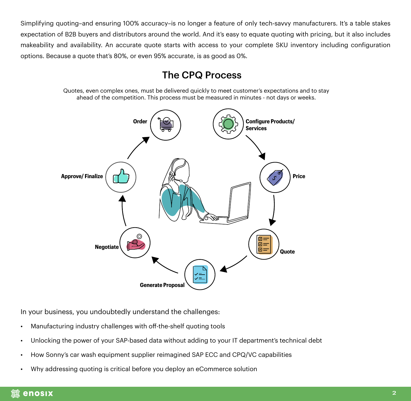Simplifying quoting–and ensuring 100% accuracy–is no longer a feature of only tech-savvy manufacturers. It's a table stakes expectation of B2B buyers and distributors around the world. And it's easy to equate quoting with pricing, but it also includes makeability and availability. An accurate quote starts with access to your complete SKU inventory including configuration options. Because a quote that's 80%, or even 95% accurate, is as good as 0%.

#### The CPQ Process

Quotes, even complex ones, must be delivered quickly to meet customer's expectations and to stay ahead of the competition. This process must be measured in minutes - not days or weeks.



In your business, you undoubtedly understand the challenges:

- Manufacturing industry challenges with off-the-shelf quoting tools
- Unlocking the power of your SAP-based data without adding to your IT department's technical debt
- How Sonny's car wash equipment supplier reimagined SAP ECC and CPQ/VC capabilities
- Why addressing quoting is critical before you deploy an eCommerce solution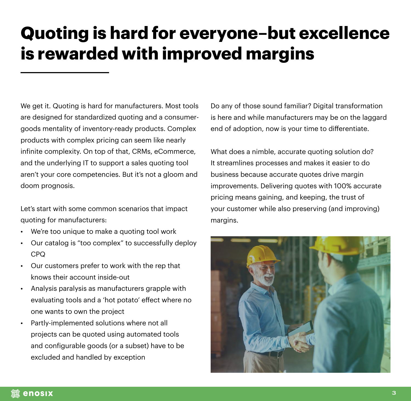#### <span id="page-4-0"></span>**Quoting is hard for everyone–but excellence is rewarded with improved margins**

We get it. Quoting is hard for manufacturers. Most tools are designed for standardized quoting and a consumergoods mentality of inventory-ready products. Complex products with complex pricing can seem like nearly infinite complexity. On top of that, CRMs, eCommerce, and the underlying IT to support a sales quoting tool aren't your core competencies. But it's not a gloom and doom prognosis.

Let's start with some common scenarios that impact quoting for manufacturers:

- We're too unique to make a quoting tool work
- Our catalog is "too complex" to successfully deploy CPQ
- Our customers prefer to work with the rep that knows their account inside-out
- Analysis paralysis as manufacturers grapple with evaluating tools and a 'hot potato' effect where no one wants to own the project
- Partly-implemented solutions where not all projects can be quoted using automated tools and configurable goods (or a subset) have to be excluded and handled by exception

Do any of those sound familiar? Digital transformation is here and while manufacturers may be on the laggard end of adoption, now is your time to differentiate.

What does a nimble, accurate quoting solution do? It streamlines processes and makes it easier to do business because accurate quotes drive margin improvements. Delivering quotes with 100% accurate pricing means gaining, and keeping, the trust of your customer while also preserving (and improving) margins.



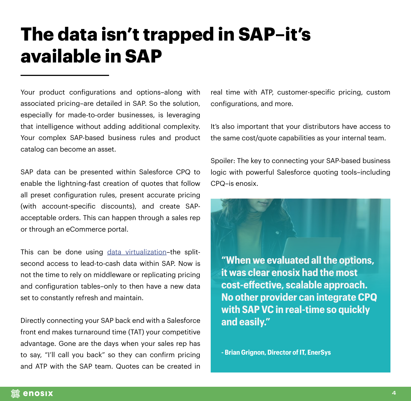#### <span id="page-5-0"></span>**The data isn't trapped in SAP–it's available in SAP**

Your product configurations and options–along with associated pricing–are detailed in SAP. So the solution, especially for made-to-order businesses, is leveraging that intelligence without adding additional complexity. Your complex SAP-based business rules and product catalog can become an asset.

SAP data can be presented within Salesforce CPQ to enable the lightning-fast creation of quotes that follow all preset configuration rules, present accurate pricing (with account-specific discounts), and create SAPacceptable orders. This can happen through a sales rep or through an eCommerce portal.

This can be done using [data virtualization](https://enosix.com/how-it-works)–the splitsecond access to lead-to-cash data within SAP. Now is not the time to rely on middleware or replicating pricing and configuration tables–only to then have a new data set to constantly refresh and maintain.

Directly connecting your SAP back end with a Salesforce front end makes turnaround time (TAT) your competitive advantage. Gone are the days when your sales rep has to say, "I'll call you back" so they can confirm pricing and ATP with the SAP team. Quotes can be created in

real time with ATP, customer-specific pricing, custom configurations, and more.

It's also important that your distributors have access to the same cost/quote capabilities as your internal team.

Spoiler: The key to connecting your SAP-based business logic with powerful Salesforce quoting tools–including CPQ–is enosix.

**"When we evaluated all the options, it was clear enosix had the most cost-effective, scalable approach. No other provider can integrate CPQ with SAP VC in real-time so quickly and easily."**

**- Brian Grignon, Director of IT, EnerSys**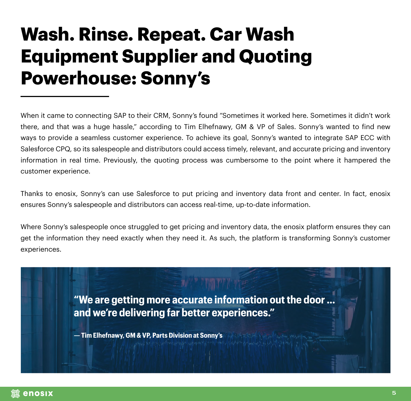#### <span id="page-6-0"></span>**Wash. Rinse. Repeat. Car Wash Equipment Supplier and Quoting Powerhouse: Sonny's**

When it came to connecting SAP to their CRM, Sonny's found "Sometimes it worked here. Sometimes it didn't work there, and that was a huge hassle," according to Tim Elhefnawy, GM & VP of Sales. Sonny's wanted to find new ways to provide a seamless customer experience. To achieve its goal, Sonny's wanted to integrate SAP ECC with Salesforce CPQ, so its salespeople and distributors could access timely, relevant, and accurate pricing and inventory information in real time. Previously, the quoting process was cumbersome to the point where it hampered the customer experience.

Thanks to enosix, Sonny's can use Salesforce to put pricing and inventory data front and center. In fact, enosix ensures Sonny's salespeople and distributors can access real-time, up-to-date information.

Where Sonny's salespeople once struggled to get pricing and inventory data, the enosix platform ensures they can get the information they need exactly when they need it. As such, the platform is transforming Sonny's customer experiences.

> **"We are getting more accurate information out the door … and we're delivering far better experiences."**

**— Tim Elhefnawy, GM & VP, Parts Division at Sonny's**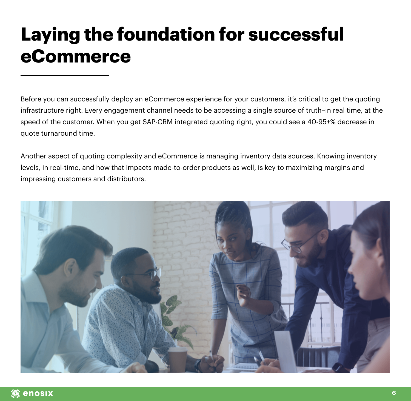## <span id="page-7-0"></span>**Laying the foundation for successful eCommerce**

Before you can successfully deploy an eCommerce experience for your customers, it's critical to get the quoting infrastructure right. Every engagement channel needs to be accessing a single source of truth–in real time, at the speed of the customer. When you get SAP-CRM integrated quoting right, you could see a 40-95+% decrease in quote turnaround time.

Another aspect of quoting complexity and eCommerce is managing inventory data sources. Knowing inventory levels, in real-time, and how that impacts made-to-order products as well, is key to maximizing margins and impressing customers and distributors.

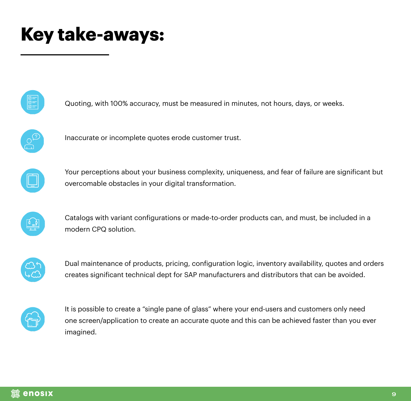#### **Key take-aways:**



Quoting, with 100% accuracy, must be measured in minutes, not hours, days, or weeks.



Inaccurate or incomplete quotes erode customer trust.



Your perceptions about your business complexity, uniqueness, and fear of failure are significant but overcomable obstacles in your digital transformation.



Catalogs with variant configurations or made-to-order products can, and must, be included in a modern CPQ solution.



Dual maintenance of products, pricing, configuration logic, inventory availability, quotes and orders creates significant technical dept for SAP manufacturers and distributors that can be avoided.



It is possible to create a "single pane of glass" where your end-users and customers only need one screen/application to create an accurate quote and this can be achieved faster than you ever imagined.